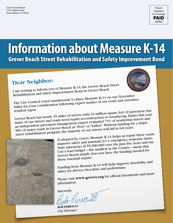

## **Information about Measure K-14** Grover Beach Street Rehabilitation and Safety Improvement Bond

### **Dear Neighbor:**

I am writing to inform you of Measure K-14, the Grover Beach Street Rehabilitation and Safety Improvement Bond in Grover Beach.

The City Council voted unanimously to place Measure K-14 on our November ballot for your consideration following expert studies of our roads and extensive resident input.

Grover Beach has nearly 45 miles of streets with 10 million square feet of pavement, but many of our streets and roads need repair, reconstruction or resurfacing. Earlier this year, an independent pavement management expert evaluated 71% of residential streets and 58% of major roads in Grover Beach as "Poor" or "Failed." Without funding for a major street rehabilitation program, the majority of our streets will fail in 6-8 years.



If adopted by voters, Measure K-14 helps us repair these roads, improve safety and maintain 9-1-1 emergency response times. State takeaways of \$5,000,000 over the past five years and the City's lean budget—the smallest in the County—mean that Grover Beach simply does not have the funding needed for these essential repairs.

Funding from Measure K-14 will help improve drivability and safety for drivers, bicyclists, and pedestrians.

Please visit **www.grover.org** for official documents and more information.

Sincerely,<br>Bab POMAND

**Bob Perrault**  *City Manager*